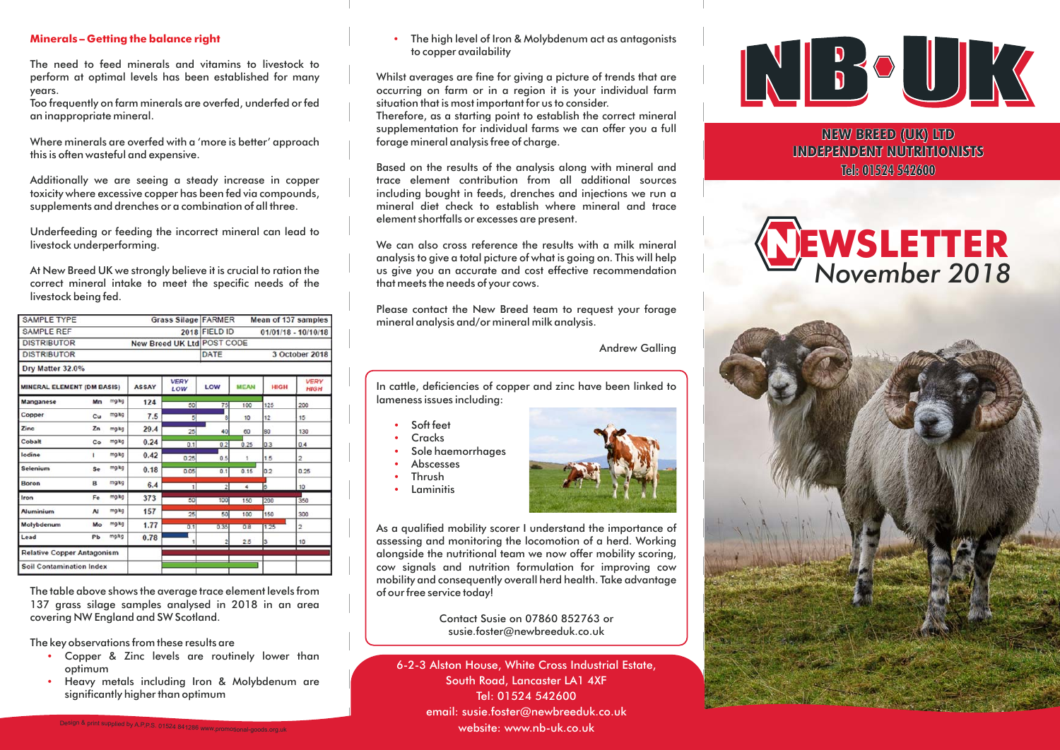### **Minerals – Getting the balance right**

The need to feed minerals and vitamins to livestock toperform at optimal levels has been established for many years.

Too frequently on farm minerals are overfed, underfed or fed an inappropriate mineral.

Where minerals are overfed with <sup>a</sup> 'more is better' approach this is often wasteful and expensive.

Additionally we are seeing <sup>a</sup> steady increase in copper toxicity where excessive copper has been fed via compounds, supplements and drenches or <sup>a</sup> combination of all three.

Underfeeding or feeding the incorrect mineral can lead to livestock underperforming.

At New Breed UK we strongly believe it is crucial to ration the correct mineral intake to meet the specific needs of the livestock being fed.

| <b>SAMPLE TYPE</b><br><b>Grass Silage FARMER</b> |                    |              |                    | Mean of 137 samples                    |             |             |                            |
|--------------------------------------------------|--------------------|--------------|--------------------|----------------------------------------|-------------|-------------|----------------------------|
| <b>SAMPLE REF</b>                                |                    |              |                    | 2018 FIELD ID<br>$01/01/18 - 10/10/18$ |             |             |                            |
| <b>DISTRIBUTOR</b><br>New Breed UK Ltd POST CODE |                    |              |                    |                                        |             |             |                            |
| <b>DISTRIBUTOR</b>                               |                    |              |                    | DATE<br>3 October 2018                 |             |             |                            |
| Dry Matter 32.0%                                 |                    |              |                    |                                        |             |             |                            |
| <b>MINERAL ELEMENT (DM BASIS)</b>                |                    | <b>ASSAY</b> | <b>VERY</b><br>LOW | LOW                                    | <b>MEAN</b> | <b>HIGH</b> | <b>VERY</b><br><b>HIGH</b> |
| <b>Manganese</b>                                 | mg/kg<br>Mn        | 124          | 50                 | 75                                     | 100         | 125         | 200                        |
| Copper                                           | mg/kg<br>Cu        | 7.5          | 5                  | 8                                      | 10          | 12          | 15                         |
| Zinc                                             | Zn<br>malka        | 29.4         | 25                 | 40                                     | 60          | 80          | 130                        |
| Cobalt                                           | mg/kg<br>Co        | 0.24         | 0.1                | 0.2                                    | 0.25        | 0.3         | 0.4                        |
| lodine                                           | mg/kg<br>п         | 0.42         | 0.25               | 0.5                                    | 1           | 1.5         | $\overline{a}$             |
| Selenium                                         | mg/kg<br>Se        | 0.18         | 0.05               | 0.1                                    | 0.15        | 0.2         | 0.25                       |
| Boron                                            | mgkg<br>B          | 6.4          | $\mathbf{1}$       | $\overline{2}$                         | 4           | Īδ          | 10                         |
| Iron                                             | mg/kg<br>Fe        | 373          | 50                 | 100                                    | 150         | 200         | 350                        |
| <b>Aluminium</b>                                 | mg/kg<br><b>AI</b> | 157          | 25                 | 50                                     | 100         | 150         | 300                        |
| Molybdenum                                       | mg/kg<br>Mo        | 1.77         | 0.1                | 0.35                                   | 0.8         | 1.25        | $\overline{2}$             |
| Lead                                             | mg/kg<br>Pb        | 0.78         |                    |                                        | 2.5         | 3           | 10                         |
| <b>Relative Copper Antagonism</b>                |                    |              |                    |                                        |             |             |                            |
| <b>Soil Contamination Index</b>                  |                    |              |                    |                                        |             |             |                            |

The table above shows the average trace element levels from 137 grass silage samples analysed in 2018 in an area covering NW England and SW Scotland.

The key observations from these results are

- Copper & Zinc levels are routinely lower than optimum
- - Heavy metals including Iron & Molybdenum are significantly higher than optimum

- The high level of Iron & Molybdenum act as antagonists to copper availability

Whilst averages are fine for giving <sup>a</sup> picture of trends that are occurring on farm or in <sup>a</sup> region it is your individual farm situation that is most important for us to consider.

Therefore, as <sup>a</sup> starting point to establish the correct mineral supplementation for individual farms we can offer you <sup>a</sup> full forage mineral analysis free of charge.

Based on the results of the analysis along with mineral and trace element contribution from all additional sourcesincluding bought in feeds, drenches and injections we run <sup>a</sup> mineral diet check to establish where mineral and traceelement shortfalls or excesses are present.

We can also cross reference the results with a milk mineral analysis to give <sup>a</sup> total picture of what is going on. This will help us give you an accurate and cost effective recommendation that meets the needs of your cows.

Please contact the New Breed team to reques<sup>t</sup> your forage mineral analysis and/or mineral milk analysis.

Andrew Galling

In cattle, deficiencies of copper and zinc have been linked to lameness issues including:

- -Soft feet
- -**Cracks**
- -Sole haemorrhages
- - Abscesses Thrush
- --Laminitis



As <sup>a</sup> qualified mobility scorer I understand the importance of assessing and monitoring the locomotion of <sup>a</sup> herd. Working alongside the nutritional team we now offer mobility scoring, cow signals and nutrition formulation for improving cow mobility and consequently overall herd health. Take advantage of our free service today!

> Contact Susie on 07860 852763 orsusie.foster@newbreeduk.co.uk

6-2-3 Alston House, White Cross Industrial Estate, South Road, Lancaster LA1 4XF Tel: 01524 542600email: susie.foster@newbreeduk.co.uk website: www.nb-uk.co.uk



**NEW BREED (UK) LTD INDEPENDENT NUTRITIONISTSTel: 01524 542600**